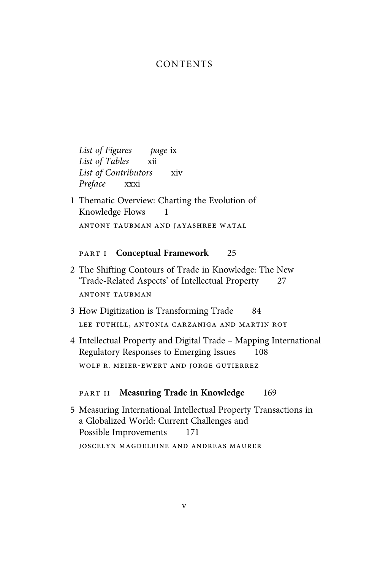### CONTENTS

List of Figures page ix List of Tables xii List of Contributors xiv Preface xxxi

1 Thematic Overview: Charting the Evolution of Knowledge Flows 1 ANTONY TAUBMAN AND JAYASHREE WATAL

#### PART I **Conceptual Framework** 25

- 2 The Shifting Contours of Trade in Knowledge: The New 'Trade-Related Aspects' of Intellectual Property 27 ANTONY TAUBMAN
- 3 How Digitization is Transforming Trade 84 LEE TUTHILL, ANTONIA CARZANIGA AND MARTIN ROY
- 4 Intellectual Property and Digital Trade Mapping International Regulatory Responses to Emerging Issues 108 WOLF R. MEIER-EWERT AND JORGE GUTIERREZ

#### PART II Measuring Trade in Knowledge 169

5 Measuring International Intellectual Property Transactions in a Globalized World: Current Challenges and Possible Improvements 171

**JOSCELYN MAGDELEINE AND ANDREAS MAURER**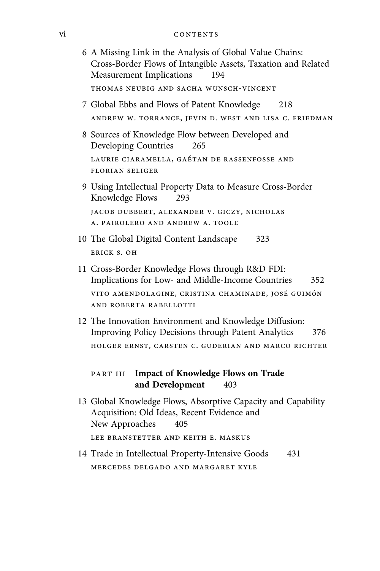## vi CONTENTS

| 6 A Missing Link in the Analysis of Global Value Chains:<br>Cross-Border Flows of Intangible Assets, Taxation and Related<br>Measurement Implications<br>194 |  |
|--------------------------------------------------------------------------------------------------------------------------------------------------------------|--|
| THOMAS NEUBIG AND SACHA WUNSCH-VINCENT                                                                                                                       |  |
| 7 Global Ebbs and Flows of Patent Knowledge<br>218                                                                                                           |  |
| ANDREW W. TORRANCE, JEVIN D. WEST AND LISA C. FRIEDMAN                                                                                                       |  |
| 8 Sources of Knowledge Flow between Developed and<br>Developing Countries<br>265                                                                             |  |
| LAURIE CIARAMELLA, GAÉTAN DE RASSENFOSSE AND<br><b>FLORIAN SELIGER</b>                                                                                       |  |
| 9 Using Intellectual Property Data to Measure Cross-Border<br>Knowledge Flows<br>293                                                                         |  |
| JACOB DUBBERT, ALEXANDER V. GICZY, NICHOLAS<br>A. PAIROLERO AND ANDREW A. TOOLE                                                                              |  |
| 10 The Global Digital Content Landscape<br>323                                                                                                               |  |
| ERICK S. OH                                                                                                                                                  |  |
| 11 Cross-Border Knowledge Flows through R&D FDI:<br>Implications for Low- and Middle-Income Countries<br>352                                                 |  |
| VITO AMENDOLAGINE, CRISTINA CHAMINADE, JOSÉ GUIMÓN<br>AND ROBERTA RABELLOTTI                                                                                 |  |
| 12 The Innovation Environment and Knowledge Diffusion:<br>Improving Policy Decisions through Patent Analytics<br>376                                         |  |
| HOLGER ERNST, CARSTEN C. GUDERIAN AND MARCO RICHTER                                                                                                          |  |
| <b>Impact of Knowledge Flows on Trade</b><br>PART III<br>and Development<br>403                                                                              |  |
| 13 Global Knowledge Flows, Absorptive Capacity and Capability<br>Acquisition: Old Ideas, Recent Evidence and<br>New Approaches<br>405                        |  |
| LEE BRANSTETTER AND KEITH E. MASKUS                                                                                                                          |  |
| 14 Trade in Intellectual Property-Intensive Goods<br>431                                                                                                     |  |
| MERCEDES DELGADO AND MARGARET KYLE                                                                                                                           |  |
|                                                                                                                                                              |  |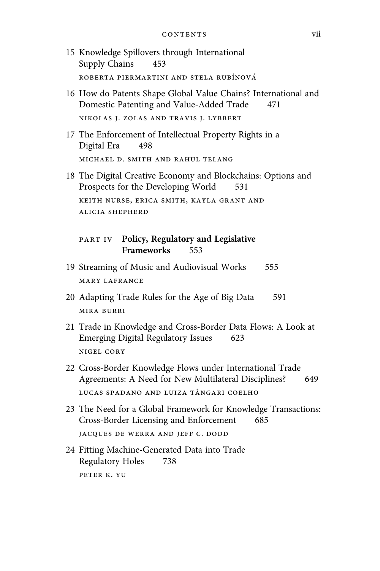- 15 Knowledge Spillovers through International Supply Chains 453 ROBERTA PIERMARTINI AND STELA RUBÍNOVÁ
- 16 How do Patents Shape Global Value Chains? International and Domestic Patenting and Value-Added Trade 471 NIKOLAS J. ZOLAS AND TRAVIS J. LYBBERT
- 17 The Enforcement of Intellectual Property Rights in a Digital Era 498 MICHAEL D. SMITH AND RAHUL TELANG
- 18 The Digital Creative Economy and Blockchains: Options and Prospects for the Developing World 531 KEITH NURSE, ERICA SMITH, KAYLA GRANT AND **ALICIA SHEPHERD**

#### **PART IV** Policy, Regulatory and Legislative **Frameworks** 553

- 19 Streaming of Music and Audiovisual Works 555 MARY LAFRANCE
- 20 Adapting Trade Rules for the Age of Big Data 591 MIRA BURRI
- 21 Trade in Knowledge and Cross-Border Data Flows: A Look at Emerging Digital Regulatory Issues 623 NIGEL CORY
- 22 Cross-Border Knowledge Flows under International Trade Agreements: A Need for New Multilateral Disciplines? 649 LUCAS SPADANO AND LUIZA TÂNGARI COELHO
- 23 The Need for a Global Framework for Knowledge Transactions: Cross-Border Licensing and Enforcement 685 JACQUES DE WERRA AND JEFF C. DODD
- 24 Fitting Machine-Generated Data into Trade Regulatory Holes 738 PETER K. YU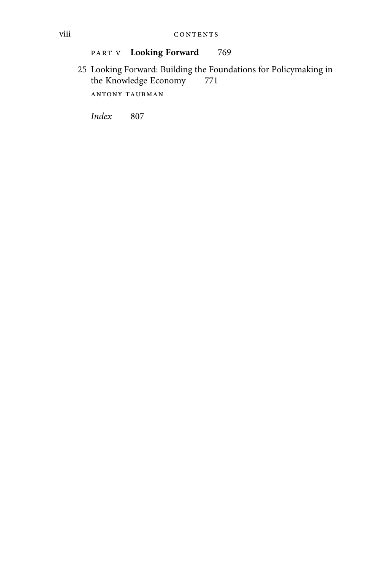### PART V **Looking Forward** 769

25 Looking Forward: Building the Foundations for Policy<br>making in the Knowledge Economy  $\qquad 771$ the Knowledge Economy

ANTONY TAUBMAN

Index 807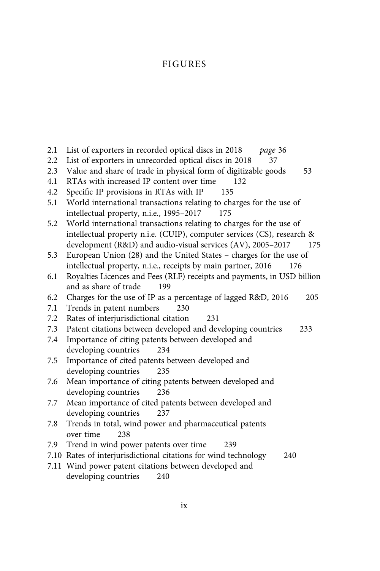# FIGURES

| 2.1 | List of exporters in recorded optical discs in 2018<br>page 36          |
|-----|-------------------------------------------------------------------------|
| 2.2 | List of exporters in unrecorded optical discs in 2018<br>37             |
| 2.3 | Value and share of trade in physical form of digitizable goods<br>53    |
| 4.1 | RTAs with increased IP content over time<br>132                         |
| 4.2 | Specific IP provisions in RTAs with IP<br>135                           |
| 5.1 | World international transactions relating to charges for the use of     |
|     | intellectual property, n.i.e., 1995-2017<br>175                         |
| 5.2 | World international transactions relating to charges for the use of     |
|     | intellectual property n.i.e. (CUIP), computer services (CS), research & |
|     | development (R&D) and audio-visual services (AV), 2005-2017<br>175      |
| 5.3 | European Union (28) and the United States - charges for the use of      |
|     | intellectual property, n.i.e., receipts by main partner, 2016<br>176    |
| 6.1 | Royalties Licences and Fees (RLF) receipts and payments, in USD billion |
|     | and as share of trade<br>199                                            |
| 6.2 | Charges for the use of IP as a percentage of lagged R&D, 2016<br>205    |
| 7.1 | Trends in patent numbers<br>230                                         |
| 7.2 | Rates of interjurisdictional citation<br>231                            |
| 7.3 | Patent citations between developed and developing countries<br>233      |
| 7.4 | Importance of citing patents between developed and                      |
|     | developing countries<br>234                                             |
| 7.5 | Importance of cited patents between developed and                       |
|     | developing countries<br>235                                             |
| 7.6 | Mean importance of citing patents between developed and                 |
|     | developing countries<br>236                                             |
| 7.7 | Mean importance of cited patents between developed and                  |
|     | developing countries<br>237                                             |
| 7.8 | Trends in total, wind power and pharmaceutical patents                  |
|     | over time<br>238                                                        |
| 7.9 | Trend in wind power patents over time<br>239                            |
|     | 7.10 Rates of interjurisdictional citations for wind technology<br>240  |
|     | 7.11 Wind power patent citations between developed and                  |
|     | developing countries<br>240                                             |
|     |                                                                         |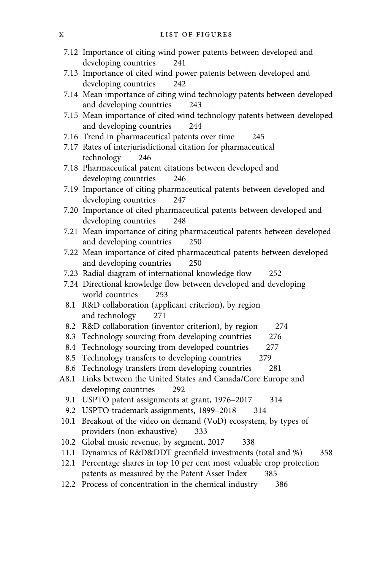- 7.12 Importance of citing wind power patents between developed and developing countries 241
- 7.13 Importance of cited wind power patents between developed and developing countries 242
- 7.14 Mean importance of citing wind technology patents between developed and developing countries 243
- 7.15 Mean importance of cited wind technology patents between developed and developing countries 244
- 7.16 Trend in pharmaceutical patents over time 245
- 7.17 Rates of interjurisdictional citation for pharmaceutical technology 246
- 7.18 Pharmaceutical patent citations between developed and developing countries 246
- 7.19 Importance of citing pharmaceutical patents between developed and developing countries 247
- 7.20 Importance of cited pharmaceutical patents between developed and developing countries 248
- 7.21 Mean importance of citing pharmaceutical patents between developed and developing countries 250
- 7.22 Mean importance of cited pharmaceutical patents between developed and developing countries 250
- 7.23 Radial diagram of international knowledge flow 252
- 7.24 Directional knowledge flow between developed and developing world countries 253
- 8.1 R&D collaboration (applicant criterion), by region and technology 271
- 8.2 R&D collaboration (inventor criterion), by region 274
- 8.3 Technology sourcing from developing countries 276
- 8.4 Technology sourcing from developed countries 277
- 8.5 Technology transfers to developing countries 279
- 8.6 Technology transfers from developing countries 281
- A8.1 Links between the United States and Canada/Core Europe and developing countries 292
	- 9.1 USPTO patent assignments at grant, 1976-2017 314
	- 9.2 USPTO trademark assignments, 1899-2018 314
- 10.1 Breakout of the video on demand (VoD) ecosystem, by types of providers (non-exhaustive) 333
- 10.2 Global music revenue, by segment, 2017 338
- 11.1 Dynamics of R&D&DDT greenfield investments (total and %) 358
- 12.1 Percentage shares in top 10 per cent most valuable crop protection patents as measured by the Patent Asset Index 385
- 12.2 Process of concentration in the chemical industry 386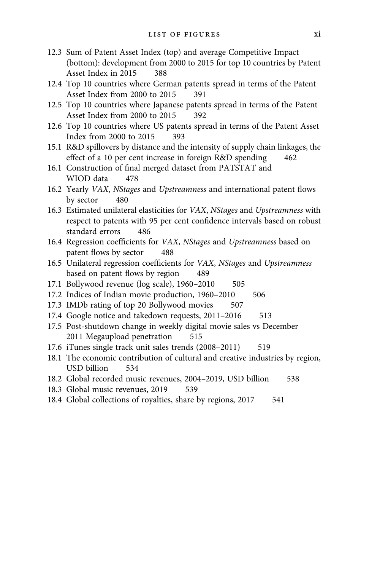- 12.3 Sum of Patent Asset Index (top) and average Competitive Impact (bottom): development from 2000 to 2015 for top 10 countries by Patent Asset Index in 2015 388
- 12.4 Top 10 countries where German patents spread in terms of the Patent Asset Index from 2000 to 2015 391
- 12.5 Top 10 countries where Japanese patents spread in terms of the Patent Asset Index from 2000 to 2015 392
- 12.6 Top 10 countries where US patents spread in terms of the Patent Asset Index from 2000 to 2015 393
- 15.1 R&D spillovers by distance and the intensity of supply chain linkages, the effect of a 10 per cent increase in foreign R&D spending 462
- 16.1 Construction of final merged dataset from PATSTAT and WIOD data 478
- 16.2 Yearly VAX, NStages and Upstreamness and international patent flows by sector 480
- 16.3 Estimated unilateral elasticities for VAX, NStages and Upstreamness with respect to patents with 95 per cent confidence intervals based on robust standard errors 486
- 16.4 Regression coefficients for VAX, NStages and Upstreamness based on patent flows by sector 488
- 16.5 Unilateral regression coefficients for VAX, NStages and Upstreamness based on patent flows by region 489
- 17.1 Bollywood revenue (log scale), 1960–2010 505
- 17.2 Indices of Indian movie production, 1960-2010 506
- 17.3 IMDb rating of top 20 Bollywood movies 507
- 17.4 Google notice and takedown requests, 2011-2016 513
- 17.5 Post-shutdown change in weekly digital movie sales vs December 2011 Megaupload penetration 515
- 17.6 iTunes single track unit sales trends (2008–2011) 519
- 18.1 The economic contribution of cultural and creative industries by region, USD billion 534
- 18.2 Global recorded music revenues, 2004–2019, USD billion 538
- 18.3 Global music revenues, 2019 539
- 18.4 Global collections of royalties, share by regions, 2017 541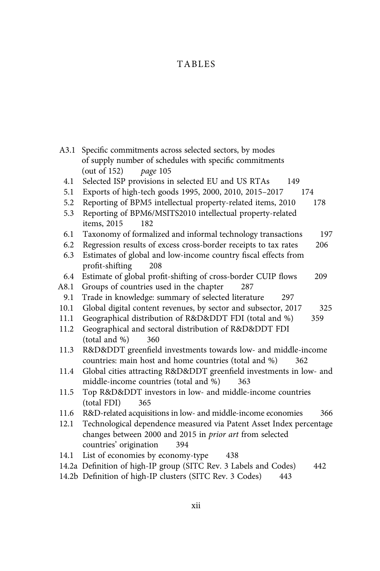# TABLES

| A3.1 | Specific commitments across selected sectors, by modes                  |
|------|-------------------------------------------------------------------------|
|      | of supply number of schedules with specific commitments                 |
|      | (out of $152$ )<br>page 105                                             |
| 4.1  | Selected ISP provisions in selected EU and US RTAs<br>149               |
| 5.1  | Exports of high-tech goods 1995, 2000, 2010, 2015-2017<br>174           |
| 5.2  | Reporting of BPM5 intellectual property-related items, 2010<br>178      |
| 5.3  | Reporting of BPM6/MSITS2010 intellectual property-related               |
|      | items, 2015<br>182                                                      |
| 6.1  | Taxonomy of formalized and informal technology transactions<br>197      |
| 6.2  | Regression results of excess cross-border receipts to tax rates<br>206  |
| 6.3  | Estimates of global and low-income country fiscal effects from          |
|      | profit-shifting<br>208                                                  |
| 6.4  | Estimate of global profit-shifting of cross-border CUIP flows<br>209    |
| A8.1 | Groups of countries used in the chapter<br>287                          |
| 9.1  | Trade in knowledge: summary of selected literature<br>297               |
| 10.1 | Global digital content revenues, by sector and subsector, 2017<br>325   |
| 11.1 | Geographical distribution of R&D&DDT FDI (total and %)<br>359           |
| 11.2 | Geographical and sectoral distribution of R&D&DDT FDI                   |
|      | (total and %)<br>360                                                    |
| 11.3 | R&D&DDT greenfield investments towards low- and middle-income           |
|      | countries: main host and home countries (total and %)<br>362            |
| 11.4 | Global cities attracting R&D&DDT greenfield investments in low- and     |
|      | middle-income countries (total and %)<br>363                            |
| 11.5 | Top R&D&DDT investors in low- and middle-income countries               |
|      | (total FDI)<br>365                                                      |
| 11.6 | R&D-related acquisitions in low- and middle-income economies<br>366     |
| 12.1 | Technological dependence measured via Patent Asset Index percentage     |
|      | changes between 2000 and 2015 in prior art from selected                |
|      | countries' origination<br>394                                           |
| 14.1 | List of economies by economy-type<br>438                                |
|      | 14.2a Definition of high-IP group (SITC Rev. 3 Labels and Codes)<br>442 |
|      | 14.2b Definition of high-IP clusters (SITC Rev. 3 Codes)<br>443         |